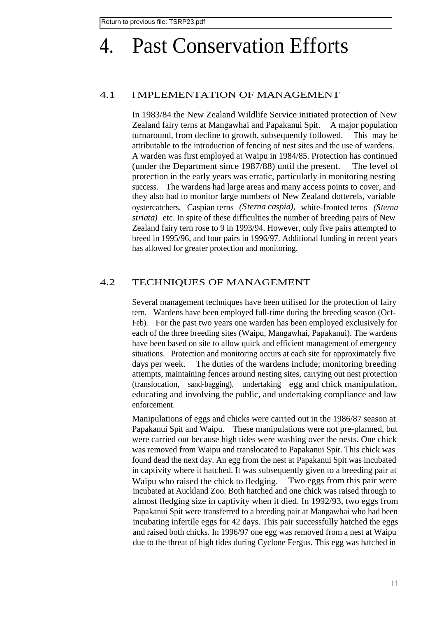# 4. Past Conservation Efforts

#### 4.1 I MPLEMENTATION OF MANAGEMENT

In 1983/84 the New Zealand Wildlife Service initiated protection of New Zealand fairy terns at Mangawhai and Papakanui Spit. A major population turnaround, from decline to growth, subsequently followed. This may be attributable to the introduction of fencing of nest sites and the use of wardens. A warden was first employed at Waipu in 1984/85. Protection has continued (under the Department since 1987/88) until the present. The level of protection in the early years was erratic, particularly in monitoring nesting success. The wardens had large areas and many access points to cover, and they also had to monitor large numbers of New Zealand dotterels, variable oystercatchers, Caspian terns *(Sterna caspia),* white-fronted terns *(Sterna striata)* etc. In spite of these difficulties the number of breeding pairs of New Zealand fairy tern rose to 9 in 1993/94. However, only five pairs attempted to breed in 1995/96, and four pairs in 1996/97. Additional funding in recent years has allowed for greater protection and monitoring.

#### 4.2 TECHNIQUES OF MANAGEMENT

Several management techniques have been utilised for the protection of fairy tern. Wardens have been employed full-time during the breeding season (Oct-Feb). For the past two years one warden has been employed exclusively for each of the three breeding sites (Waipu, Mangawhai, Papakanui). The wardens have been based on site to allow quick and efficient management of emergency situations. Protection and monitoring occurs at each site for approximately five days per week. The duties of the wardens include; monitoring breeding attempts, maintaining fences around nesting sites, carrying out nest protection (translocation, sand-bagging), undertaking egg and chick manipulation, educating and involving the public, and undertaking compliance and law enforcement.

Manipulations of eggs and chicks were carried out in the 1986/87 season at Papakanui Spit and Waipu. These manipulations were not pre-planned, but were carried out because high tides were washing over the nests. One chick was removed from Waipu and translocated to Papakanui Spit. This chick was found dead the next day. An egg from the nest at Papakanui Spit was incubated in captivity where it hatched. It was subsequently given to a breeding pair at Waipu who raised the chick to fledging. Two eggs from this pair were incubated at Auckland Zoo. Both hatched and one chick was raised through to almost fledging size in captivity when it died. In 1992/93, two eggs from Papakanui Spit were transferred to a breeding pair at Mangawhai who had been incubating infertile eggs for 42 days. This pair successfully hatched the eggs and raised both chicks. In 1996/97 one egg was removed from a nest at Waipu due to the threat of high tides during Cyclone Fergus. This egg was hatched in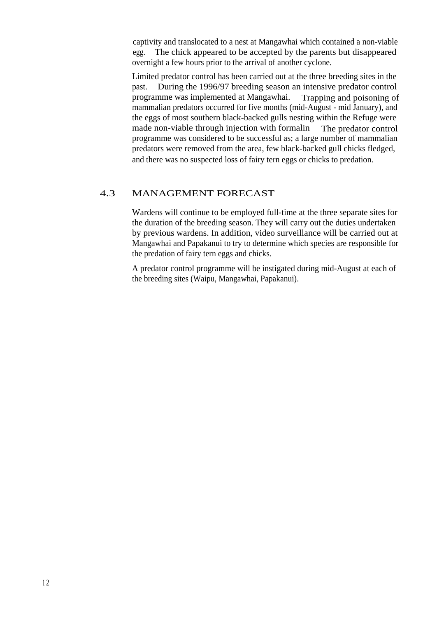captivity and translocated to a nest at Mangawhai which contained a non-viable egg. The chick appeared to be accepted by the parents but disappeared overnight a few hours prior to the arrival of another cyclone.

Limited predator control has been carried out at the three breeding sites in the past. During the 1996/97 breeding season an intensive predator control programme was implemented at Mangawhai. Trapping and poisoning of mammalian predators occurred for five months (mid-August - mid January), and the eggs of most southern black-backed gulls nesting within the Refuge were made non-viable through injection with formalin The predator control programme was considered to be successful as; a large number of mammalian predators were removed from the area, few black-backed gull chicks fledged, and there was no suspected loss of fairy tern eggs or chicks to predation.

#### 4.3 MANAGEMENT FORECAST

Wardens will continue to be employed full-time at the three separate sites for the duration of the breeding season. They will carry out the duties undertaken by previous wardens. In addition, video surveillance will be carried out at Mangawhai and Papakanui to try to determine which species are responsible for the predation of fairy tern eggs and chicks.

A predator control programme will be instigated during mid-August at each of the breeding sites (Waipu, Mangawhai, Papakanui).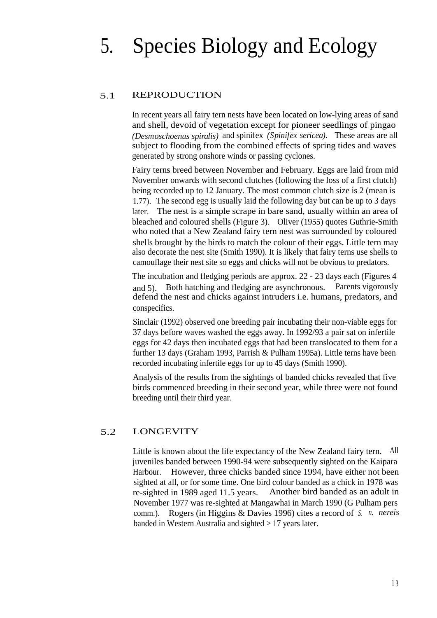# 5. Species Biology and Ecology

# 5.1 REPRODUCTION

In recent years all fairy tern nests have been located on low-lying areas of sand and shell, devoid of vegetation except for pioneer seedlings of pingao *(Desmoschoenus spiralis)* and spinifex *(Spinifex sericea).* These areas are all subject to flooding from the combined effects of spring tides and waves generated by strong onshore winds or passing cyclones.

Fairy terns breed between November and February. Eggs are laid from mid November onwards with second clutches (following the loss of a first clutch) being recorded up to 12 January. The most common clutch size is 2 (mean is 1.77). The second egg is usually laid the following day but can be up to 3 days later. The nest is a simple scrape in bare sand, usually within an area of bleached and coloured shells (Figure 3). Oliver (1955) quotes Guthrie-Smith who noted that a New Zealand fairy tern nest was surrounded by coloured shells brought by the birds to match the colour of their eggs. Little tern may also decorate the nest site (Smith 1990). It is likely that fairy terns use shells to camouflage their nest site so eggs and chicks will not be obvious to predators.

The incubation and fledging periods are approx. 22 - 23 days each (Figures 4 and 5). Both hatching and fledging are asynchronous. Parents vigorously defend the nest and chicks against intruders i.e. humans, predators, and conspecifics.

Sinclair (1992) observed one breeding pair incubating their non-viable eggs for 37 days before waves washed the eggs away. In 1992/93 a pair sat on infertile eggs for 42 days then incubated eggs that had been translocated to them for a further 13 days (Graham 1993, Parrish & Pulham 1995a). Little terns have been recorded incubating infertile eggs for up to 45 days (Smith 1990).

Analysis of the results from the sightings of banded chicks revealed that five birds commenced breeding in their second year, while three were not found breeding until their third year.

# 5.2 LONGEVITY

Little is known about the life expectancy of the New Zealand fairy tern. All juveniles banded between 1990-94 were subsequently sighted on the Kaipara Harbour. However, three chicks banded since 1994, have either not been sighted at all, or for some time. One bird colour banded as a chick in 1978 was re-sighted in 1989 aged 11.5 years. Another bird banded as an adult in November 1977 was re-sighted at Mangawhai in March 1990 (G Pulham pers comm.). Rogers (in Higgins & Davies 1996) cites a record of *S. n. nereis* banded in Western Australia and sighted > 17 years later.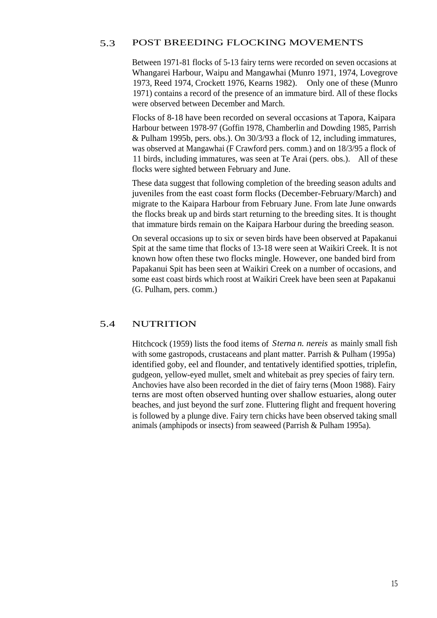# 5.3 POST BREEDING FLOCKING MOVEMENTS

Between 1971-81 flocks of 5-13 fairy terns were recorded on seven occasions at Whangarei Harbour, Waipu and Mangawhai (Munro 1971, 1974, Lovegrove 1973, Reed 1974, Crockett 1976, Kearns 1982). Only one of these (Munro 1971) contains a record of the presence of an immature bird. All of these flocks were observed between December and March.

Flocks of 8-18 have been recorded on several occasions at Tapora, Kaipara Harbour between 1978-97 (Goffin 1978, Chamberlin and Dowding 1985, Parrish & Pulham 1995b, pers. obs.). On 30/3/93 a flock of 12, including immatures, was observed at Mangawhai (F Crawford pers. comm.) and on 18/3/95 a flock of 11 birds, including immatures, was seen at Te Arai (pers. obs.). All of these flocks were sighted between February and June.

These data suggest that following completion of the breeding season adults and juveniles from the east coast form flocks (December-February/March) and migrate to the Kaipara Harbour from February June. From late June onwards the flocks break up and birds start returning to the breeding sites. It is thought that immature birds remain on the Kaipara Harbour during the breeding season.

On several occasions up to six or seven birds have been observed at Papakanui Spit at the same time that flocks of 13-18 were seen at Waikiri Creek. It is not known how often these two flocks mingle. However, one banded bird from Papakanui Spit has been seen at Waikiri Creek on a number of occasions, and some east coast birds which roost at Waikiri Creek have been seen at Papakanui (G. Pulham, pers. comm.)

#### 5.4 NUTRITION

Hitchcock (1959) lists the food items of *Sterna n. nereis* as mainly small fish with some gastropods, crustaceans and plant matter. Parrish & Pulham (1995a) identified goby, eel and flounder, and tentatively identified spotties, triplefin, gudgeon, yellow-eyed mullet, smelt and whitebait as prey species of fairy tern. Anchovies have also been recorded in the diet of fairy terns (Moon 1988). Fairy terns are most often observed hunting over shallow estuaries, along outer beaches, and just beyond the surf zone. Fluttering flight and frequent hovering is followed by a plunge dive. Fairy tern chicks have been observed taking small animals (amphipods or insects) from seaweed (Parrish & Pulham 1995a).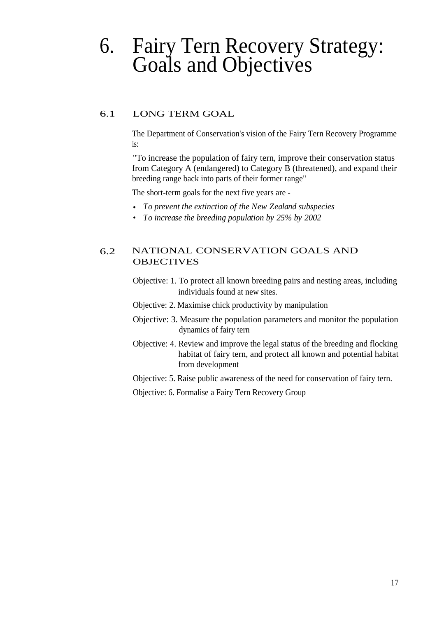# 6. Fairy Tern Recovery Strategy: Goals and Objectives

# 6.1 LONG TERM GOAL

The Department of Conservation's vision of the Fairy Tern Recovery Programme is:

"To increase the population of fairy tern, improve their conservation status from Category A (endangered) to Category B (threatened), and expand their breeding range back into parts of their former range"

The short-term goals for the next five years are -

- *• To prevent the extinction of the New Zealand subspecies*
- *• To increase the breeding population by 25% by 2002*

# 6.2 NATIONAL CONSERVATION GOALS AND **OBJECTIVES**

- Objective: 1. To protect all known breeding pairs and nesting areas, including individuals found at new sites.
- Objective: 2. Maximise chick productivity by manipulation
- Objective: 3. Measure the population parameters and monitor the population dynamics of fairy tern
- Objective: 4. Review and improve the legal status of the breeding and flocking habitat of fairy tern, and protect all known and potential habitat from development
- Objective: 5. Raise public awareness of the need for conservation of fairy tern.
- Objective: 6. Formalise a Fairy Tern Recovery Group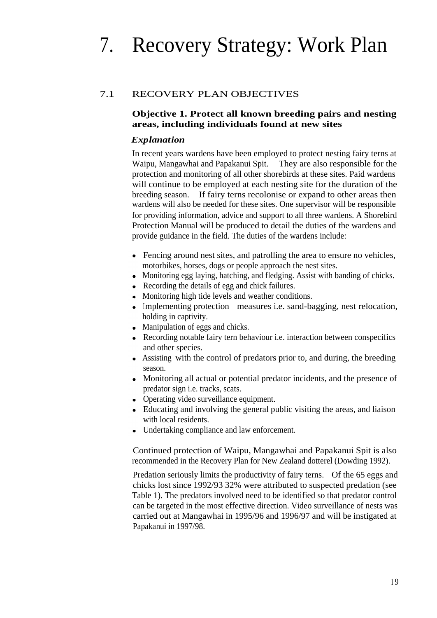# 7. Recovery Strategy: Work Plan

# 7.1 RECOVERY PLAN OBJECTIVES

# **Objective 1. Protect all known breeding pairs and nesting areas, including individuals found at new sites**

### *Explanation*

In recent years wardens have been employed to protect nesting fairy terns at Waipu, Mangawhai and Papakanui Spit. They are also responsible for the protection and monitoring of all other shorebirds at these sites. Paid wardens will continue to be employed at each nesting site for the duration of the breeding season. If fairy terns recolonise or expand to other areas then wardens will also be needed for these sites. One supervisor will be responsible for providing information, advice and support to all three wardens. A Shorebird Protection Manual will be produced to detail the duties of the wardens and provide guidance in the field. The duties of the wardens include:

- Fencing around nest sites, and patrolling the area to ensure no vehicles, motorbikes, horses, dogs or people approach the nest sites.
- Monitoring egg laying, hatching, and fledging. Assist with banding of chicks.
- Recording the details of egg and chick failures.
- Monitoring high tide levels and weather conditions.
- Implementing protection measures i.e. sand-bagging, nest relocation, holding in captivity.
- Manipulation of eggs and chicks.
- Recording notable fairy tern behaviour i.e. interaction between conspecifics and other species.
- Assisting with the control of predators prior to, and during, the breeding season.
- Monitoring all actual or potential predator incidents, and the presence of predator sign i.e. tracks, scats.
- Operating video surveillance equipment.
- Educating and involving the general public visiting the areas, and liaison with local residents.
- Undertaking compliance and law enforcement.

Continued protection of Waipu, Mangawhai and Papakanui Spit is also recommended in the Recovery Plan for New Zealand dotterel (Dowding 1992).

Predation seriously limits the productivity of fairy terns. Of the 65 eggs and chicks lost since 1992/93 32% were attributed to suspected predation (see Table 1). The predators involved need to be identified so that predator control can be targeted in the most effective direction. Video surveillance of nests was carried out at Mangawhai in 1995/96 and 1996/97 and will be instigated at Papakanui in 1997/98.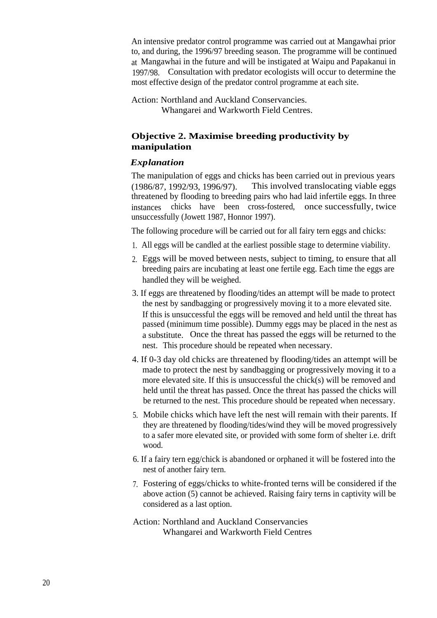An intensive predator control programme was carried out at Mangawhai prior to, and during, the 1996/97 breeding season. The programme will be continued at Mangawhai in the future and will be instigated at Waipu and Papakanui in 1997/98. Consultation with predator ecologists will occur to determine the most effective design of the predator control programme at each site.

Action: Northland and Auckland Conservancies. Whangarei and Warkworth Field Centres.

# **Objective 2. Maximise breeding productivity by manipulation**

# *Explanation*

The manipulation of eggs and chicks has been carried out in previous years (1986/87, 1992/93, 1996/97). This involved translocating viable eggs threatened by flooding to breeding pairs who had laid infertile eggs. In three instances chicks have been cross-fostered, once successfully, twice unsuccessfully (Jowett 1987, Honnor 1997).

The following procedure will be carried out for all fairy tern eggs and chicks:

- 1. All eggs will be candled at the earliest possible stage to determine viability.
- 2. Eggs will be moved between nests, subject to timing, to ensure that all breeding pairs are incubating at least one fertile egg. Each time the eggs are handled they will be weighed.
- 3. If eggs are threatened by flooding/tides an attempt will be made to protect the nest by sandbagging or progressively moving it to a more elevated site. If this is unsuccessful the eggs will be removed and held until the threat has passed (minimum time possible). Dummy eggs may be placed in the nest as a substitute. Once the threat has passed the eggs will be returned to the nest. This procedure should be repeated when necessary.
- 4. If 0-3 day old chicks are threatened by flooding/tides an attempt will be made to protect the nest by sandbagging or progressively moving it to a more elevated site. If this is unsuccessful the chick(s) will be removed and held until the threat has passed. Once the threat has passed the chicks will be returned to the nest. This procedure should be repeated when necessary.
- 5. Mobile chicks which have left the nest will remain with their parents. If they are threatened by flooding/tides/wind they will be moved progressively to a safer more elevated site, or provided with some form of shelter i.e. drift wood.
- 6. If a fairy tern egg/chick is abandoned or orphaned it will be fostered into the nest of another fairy tern.
- 7. Fostering of eggs/chicks to white-fronted terns will be considered if the above action (5) cannot be achieved. Raising fairy terns in captivity will be considered as a last option.
- Action: Northland and Auckland Conservancies Whangarei and Warkworth Field Centres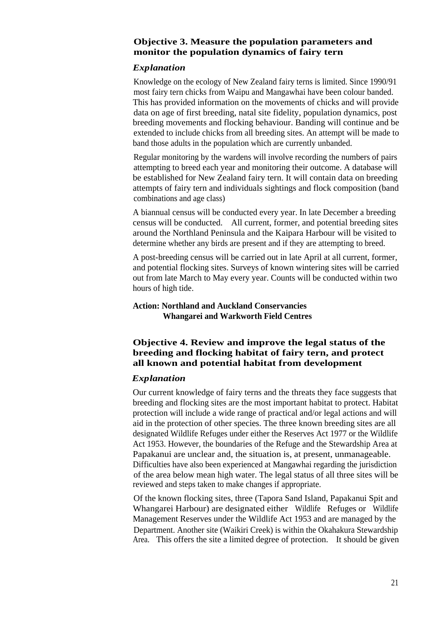#### **Objective 3. Measure the population parameters and monitor the population dynamics of fairy tern**

#### *Explanation*

Knowledge on the ecology of New Zealand fairy terns is limited. Since 1990/91 most fairy tern chicks from Waipu and Mangawhai have been colour banded. This has provided information on the movements of chicks and will provide data on age of first breeding, natal site fidelity, population dynamics, post breeding movements and flocking behaviour. Banding will continue and be extended to include chicks from all breeding sites. An attempt will be made to band those adults in the population which are currently unbanded.

Regular monitoring by the wardens will involve recording the numbers of pairs attempting to breed each year and monitoring their outcome. A database will be established for New Zealand fairy tern. It will contain data on breeding attempts of fairy tern and individuals sightings and flock composition (band combinations and age class)

A biannual census will be conducted every year. In late December a breeding census will be conducted. All current, former, and potential breeding sites around the Northland Peninsula and the Kaipara Harbour will be visited to determine whether any birds are present and if they are attempting to breed.

A post-breeding census will be carried out in late April at all current, former, and potential flocking sites. Surveys of known wintering sites will be carried out from late March to May every year. Counts will be conducted within two hours of high tide.

# **Action: Northland and Auckland Conservancies Whangarei and Warkworth Field Centres**

# **Objective 4. Review and improve the legal status of the breeding and flocking habitat of fairy tern, and protect all known and potential habitat from development**

# *Explanation*

Our current knowledge of fairy terns and the threats they face suggests that breeding and flocking sites are the most important habitat to protect. Habitat protection will include a wide range of practical and/or legal actions and will aid in the protection of other species. The three known breeding sites are all designated Wildlife Refuges under either the Reserves Act 1977 or the Wildlife Act 1953. However, the boundaries of the Refuge and the Stewardship Area at Papakanui are unclear and, the situation is, at present, unmanageable. Difficulties have also been experienced at Mangawhai regarding the jurisdiction of the area below mean high water. The legal status of all three sites will be reviewed and steps taken to make changes if appropriate.

Of the known flocking sites, three (Tapora Sand Island, Papakanui Spit and Whangarei Harbour) are designated either Wildlife Refuges or Wildlife Management Reserves under the Wildlife Act 1953 and are managed by the Department. Another site (Waikiri Creek) is within the Okahakura Stewardship Area. This offers the site a limited degree of protection. It should be given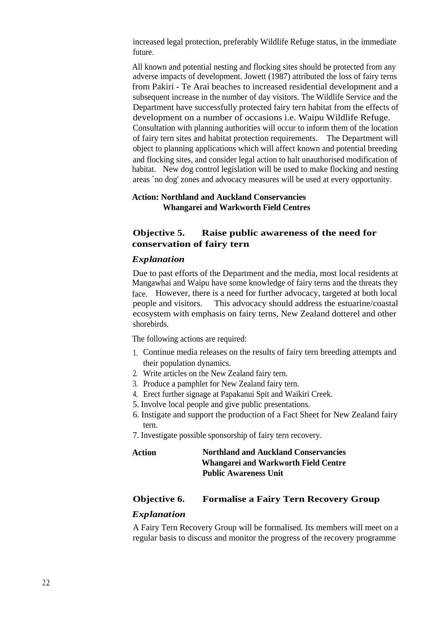increased legal protection, preferably Wildlife Refuge status, in the immediate future.

All known and potential nesting and flocking sites should be protected from any adverse impacts of development. Jowett (1987) attributed the loss of fairy terns from Pakiri - Te Arai beaches to increased residential development and a subsequent increase in the number of day visitors. The Wildlife Service and the Department have successfully protected fairy tern habitat from the effects of development on a number of occasions i.e. Waipu Wildlife Refuge. Consultation with planning authorities will occur to inform them of the location of fairy tern sites and habitat protection requirements. The Department will object to planning applications which will affect known and potential breeding and flocking sites, and consider legal action to halt unauthorised modification of habitat. New dog control legislation will be used to make flocking and nesting areas `no dog' zones and advocacy measures will be used at every opportunity.

#### **Action: Northland and Auckland Conservancies Whangarei and Warkworth Field Centres**

# **Objective 5. Raise public awareness of the need for conservation of fairy tern**

#### *Explanation*

Due to past efforts of the Department and the media, most local residents at Mangawhai and Waipu have some knowledge of fairy terns and the threats they face. However, there is a need for further advocacy, targeted at both local people and visitors. This advocacy should address the estuarine/coastal ecosystem with emphasis on fairy terns, New Zealand dotterel and other shorebirds.

The following actions are required:

- 1. Continue media releases on the results of fairy tern breeding attempts and their population dynamics.
- 2. Write articles on the New Zealand fairy tern.
- 3. Produce a pamphlet for New Zealand fairy tern.
- 4. Erect further signage at Papakanui Spit and Waikiri Creek.
- 5. Involve local people and give public presentations.
- 6. Instigate and support the production of a Fact Sheet for New Zealand fairy tern.
- 7. Investigate possible sponsorship of fairy tern recovery.

| <b>Action</b> | <b>Northland and Auckland Conservancies</b> |
|---------------|---------------------------------------------|
|               | <b>Whangarei and Warkworth Field Centre</b> |
|               | <b>Public Awareness Unit</b>                |

#### **Objective 6. Formalise a Fairy Tern Recovery Group**

#### *Explanation*

A Fairy Tern Recovery Group will be formalised. Its members will meet on a regular basis to discuss and monitor the progress of the recovery programme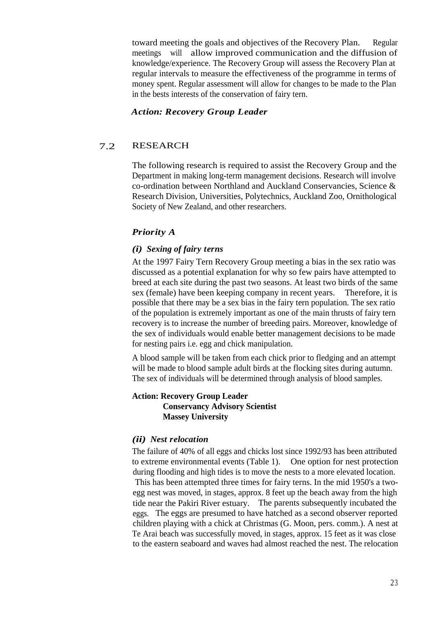toward meeting the goals and objectives of the Recovery Plan. Regular meetings will allow improved communication and the diffusion of knowledge/experience. The Recovery Group will assess the Recovery Plan at regular intervals to measure the effectiveness of the programme in terms of money spent. Regular assessment will allow for changes to be made to the Plan in the bests interests of the conservation of fairy tern.

#### *Action: Recovery Group Leader*

# 7.2 RESEARCH

The following research is required to assist the Recovery Group and the Department in making long-term management decisions. Research will involve co-ordination between Northland and Auckland Conservancies, Science & Research Division, Universities, Polytechnics, Auckland Zoo, Ornithological Society of New Zealand, and other researchers.

# *Priority A*

#### *(i) Sexing of fairy terns*

At the 1997 Fairy Tern Recovery Group meeting a bias in the sex ratio was discussed as a potential explanation for why so few pairs have attempted to breed at each site during the past two seasons. At least two birds of the same sex (female) have been keeping company in recent years. Therefore, it is possible that there may be a sex bias in the fairy tern population. The sex ratio of the population is extremely important as one of the main thrusts of fairy tern recovery is to increase the number of breeding pairs. Moreover, knowledge of the sex of individuals would enable better management decisions to be made for nesting pairs i.e. egg and chick manipulation.

A blood sample will be taken from each chick prior to fledging and an attempt will be made to blood sample adult birds at the flocking sites during autumn. The sex of individuals will be determined through analysis of blood samples.

#### **Action: Recovery Group Leader Conservancy Advisory Scientist Massey University**

#### *(ii) Nest relocation*

The failure of 40% of all eggs and chicks lost since 1992/93 has been attributed to extreme environmental events (Table 1). One option for nest protection during flooding and high tides is to move the nests to a more elevated location. This has been attempted three times for fairy terns. In the mid 1950's a twoegg nest was moved, in stages, approx. 8 feet up the beach away from the high tide near the Pakiri River estuary. The parents subsequently incubated the eggs. The eggs are presumed to have hatched as a second observer reported children playing with a chick at Christmas (G. Moon, pers. comm.). A nest at Te Arai beach was successfully moved, in stages, approx. 15 feet as it was close to the eastern seaboard and waves had almost reached the nest. The relocation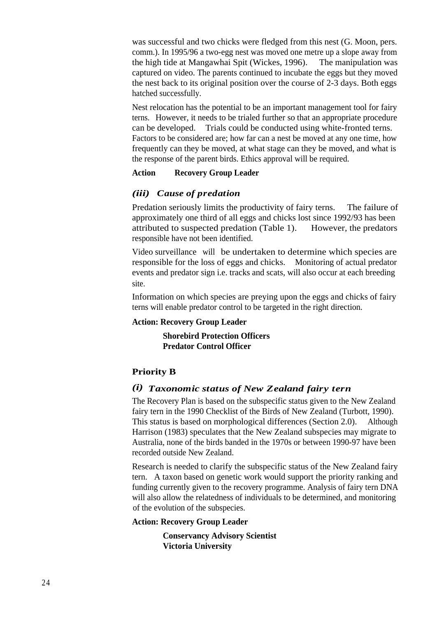was successful and two chicks were fledged from this nest (G. Moon, pers. comm.). In 1995/96 a two-egg nest was moved one metre up a slope away from the high tide at Mangawhai Spit (Wickes, 1996). The manipulation was captured on video. The parents continued to incubate the eggs but they moved the nest back to its original position over the course of 2-3 days. Both eggs hatched successfully.

Nest relocation has the potential to be an important management tool for fairy terns. However, it needs to be trialed further so that an appropriate procedure can be developed. Trials could be conducted using white-fronted terns. Factors to be considered are; how far can a nest be moved at any one time, how frequently can they be moved, at what stage can they be moved, and what is the response of the parent birds. Ethics approval will be required.

#### **Action Recovery Group Leader**

# *(iii) Cause of predation*

Predation seriously limits the productivity of fairy terns. The failure of approximately one third of all eggs and chicks lost since 1992/93 has been attributed to suspected predation (Table 1). However, the predators responsible have not been identified.

Video surveillance will be undertaken to determine which species are responsible for the loss of eggs and chicks. Monitoring of actual predator events and predator sign i.e. tracks and scats, will also occur at each breeding site.

Information on which species are preying upon the eggs and chicks of fairy terns will enable predator control to be targeted in the right direction.

# **Action: Recovery Group Leader**

**Shorebird Protection Officers Predator Control Officer**

# **Priority B**

# *(i) Taxonomic status of New Zealand fairy tern*

The Recovery Plan is based on the subspecific status given to the New Zealand fairy tern in the 1990 Checklist of the Birds of New Zealand (Turbott, 1990). This status is based on morphological differences (Section 2.0). Although Harrison (1983) speculates that the New Zealand subspecies may migrate to Australia, none of the birds banded in the 1970s or between 1990-97 have been recorded outside New Zealand.

Research is needed to clarify the subspecific status of the New Zealand fairy tern. A taxon based on genetic work would support the priority ranking and funding currently given to the recovery programme. Analysis of fairy tern DNA will also allow the relatedness of individuals to be determined, and monitoring of the evolution of the subspecies.

# **Action: Recovery Group Leader**

**Conservancy Advisory Scientist Victoria University**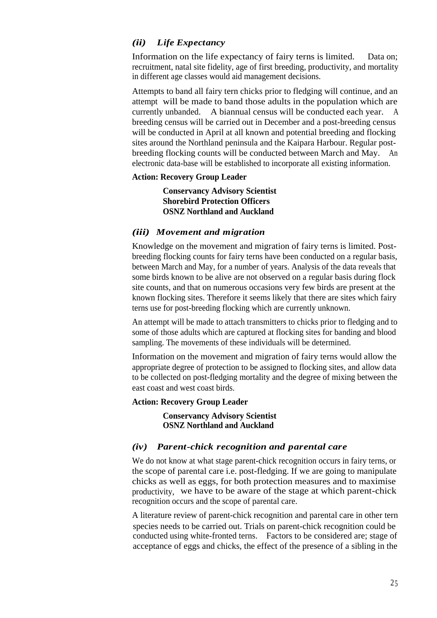# *(ii) Life Expectancy*

Information on the life expectancy of fairy terns is limited. Data on; recruitment, natal site fidelity, age of first breeding, productivity, and mortality in different age classes would aid management decisions.

Attempts to band all fairy tern chicks prior to fledging will continue, and an attempt will be made to band those adults in the population which are currently unbanded. A biannual census will be conducted each year. A breeding census will be carried out in December and a post-breeding census will be conducted in April at all known and potential breeding and flocking sites around the Northland peninsula and the Kaipara Harbour. Regular postbreeding flocking counts will be conducted between March and May. An electronic data-base will be established to incorporate all existing information.

#### **Action: Recovery Group Leader**

**Conservancy Advisory Scientist Shorebird Protection Officers OSNZ Northland and Auckland**

#### *(iii) Movement and migration*

Knowledge on the movement and migration of fairy terns is limited. Postbreeding flocking counts for fairy terns have been conducted on a regular basis, between March and May, for a number of years. Analysis of the data reveals that some birds known to be alive are not observed on a regular basis during flock site counts, and that on numerous occasions very few birds are present at the known flocking sites. Therefore it seems likely that there are sites which fairy terns use for post-breeding flocking which are currently unknown.

An attempt will be made to attach transmitters to chicks prior to fledging and to some of those adults which are captured at flocking sites for banding and blood sampling. The movements of these individuals will be determined.

Information on the movement and migration of fairy terns would allow the appropriate degree of protection to be assigned to flocking sites, and allow data to be collected on post-fledging mortality and the degree of mixing between the east coast and west coast birds.

#### **Action: Recovery Group Leader**

**Conservancy Advisory Scientist OSNZ Northland and Auckland**

# *(iv) Parent-chick recognition and parental care*

We do not know at what stage parent-chick recognition occurs in fairy terns, or the scope of parental care i.e. post-fledging. If we are going to manipulate chicks as well as eggs, for both protection measures and to maximise productivity, we have to be aware of the stage at which parent-chick recognition occurs and the scope of parental care.

A literature review of parent-chick recognition and parental care in other tern species needs to be carried out. Trials on parent-chick recognition could be conducted using white-fronted terns. Factors to be considered are; stage of acceptance of eggs and chicks, the effect of the presence of a sibling in the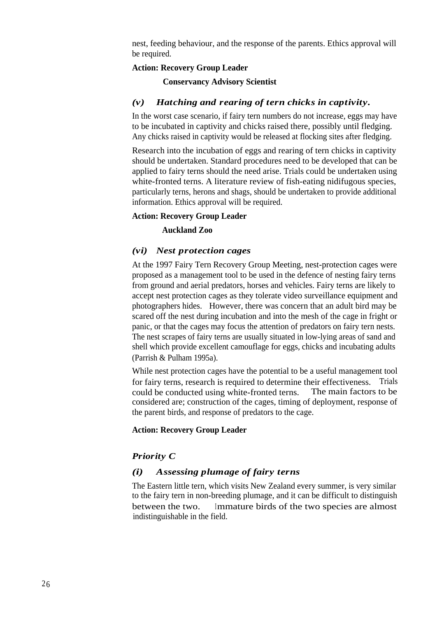nest, feeding behaviour, and the response of the parents. Ethics approval will be required.

#### **Action: Recovery Group Leader**

#### **Conservancy Advisory Scientist**

#### *(v) Hatching and rearing of tern chicks in captivity.*

In the worst case scenario, if fairy tern numbers do not increase, eggs may have to be incubated in captivity and chicks raised there, possibly until fledging. Any chicks raised in captivity would be released at flocking sites after fledging.

Research into the incubation of eggs and rearing of tern chicks in captivity should be undertaken. Standard procedures need to be developed that can be applied to fairy terns should the need arise. Trials could be undertaken using white-fronted terns. A literature review of fish-eating nidifugous species, particularly terns, herons and shags, should be undertaken to provide additional information. Ethics approval will be required.

#### **Action: Recovery Group Leader**

#### **Auckland Zoo**

#### *(vi) Nest protection cages*

At the 1997 Fairy Tern Recovery Group Meeting, nest-protection cages were proposed as a management tool to be used in the defence of nesting fairy terns from ground and aerial predators, horses and vehicles. Fairy terns are likely to accept nest protection cages as they tolerate video surveillance equipment and photographers hides. However, there was concern that an adult bird may be scared off the nest during incubation and into the mesh of the cage in fright or panic, or that the cages may focus the attention of predators on fairy tern nests. The nest scrapes of fairy terns are usually situated in low-lying areas of sand and shell which provide excellent camouflage for eggs, chicks and incubating adults (Parrish & Pulham 1995a).

While nest protection cages have the potential to be a useful management tool for fairy terns, research is required to determine their effectiveness. Trials could be conducted using white-fronted terns. The main factors to be considered are; construction of the cages, timing of deployment, response of the parent birds, and response of predators to the cage.

#### **Action: Recovery Group Leader**

# *Priority C*

#### *(i) Assessing plumage of fairy terns*

The Eastern little tern, which visits New Zealand every summer, is very similar to the fairy tern in non-breeding plumage, and it can be difficult to distinguish between the two. Immature birds of the two species are almost indistinguishable in the field.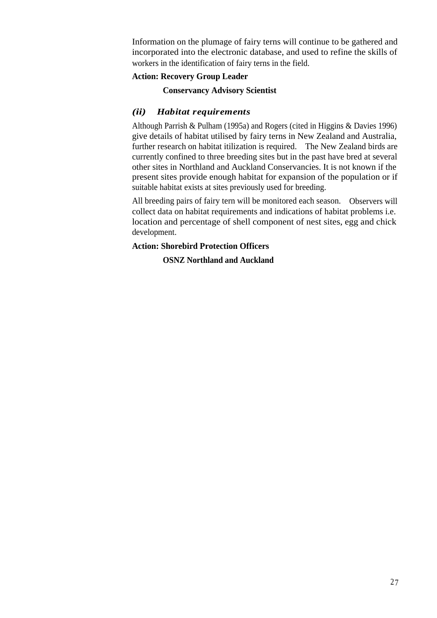Information on the plumage of fairy terns will continue to be gathered and incorporated into the electronic database, and used to refine the skills of workers in the identification of fairy terns in the field.

# **Action: Recovery Group Leader**

# **Conservancy Advisory Scientist**

# *(ii) Habitat requirements*

Although Parrish & Pulham (1995a) and Rogers (cited in Higgins & Davies 1996) give details of habitat utilised by fairy terns in New Zealand and Australia, further research on habitat itilization is required. The New Zealand birds are currently confined to three breeding sites but in the past have bred at several other sites in Northland and Auckland Conservancies. It is not known if the present sites provide enough habitat for expansion of the population or if suitable habitat exists at sites previously used for breeding.

All breeding pairs of fairy tern will be monitored each season. Observers will collect data on habitat requirements and indications of habitat problems i.e. location and percentage of shell component of nest sites, egg and chick development.

# **Action: Shorebird Protection Officers**

# **OSNZ Northland and Auckland**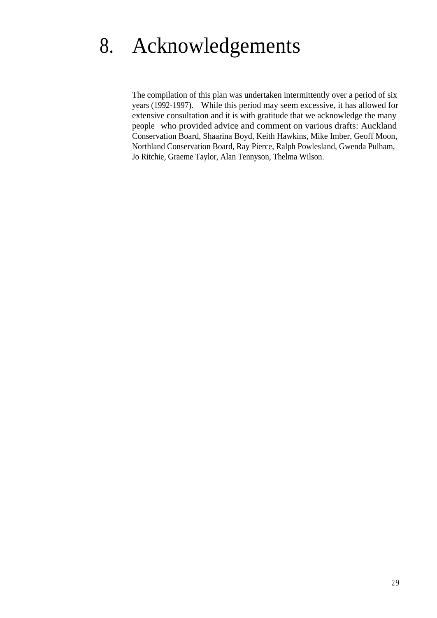# 8. Acknowledgements

The compilation of this plan was undertaken intermittently over a period of six years (1992-1997). While this period may seem excessive, it has allowed for extensive consultation and it is with gratitude that we acknowledge the many people who provided advice and comment on various drafts: Auckland Conservation Board, Shaarina Boyd, Keith Hawkins, Mike Imber, Geoff Moon, Northland Conservation Board, Ray Pierce, Ralph Powlesland, Gwenda Pulham, Jo Ritchie, Graeme Taylor, Alan Tennyson, Thelma Wilson.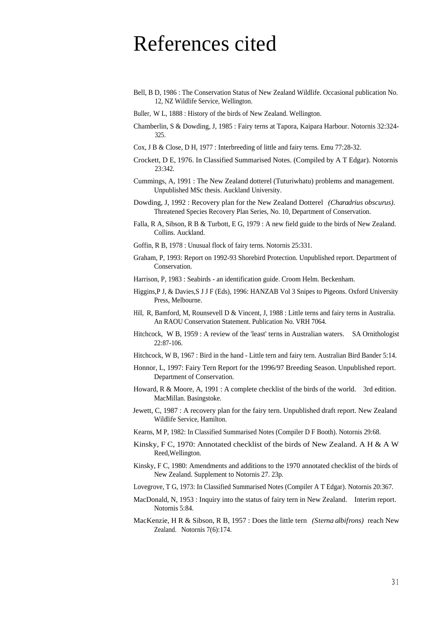# References cited

- Bell, B D, 1986 : The Conservation Status of New Zealand Wildlife. Occasional publication No. 12, NZ Wildlife Service, Wellington.
- Buller, W L, 1888 : History of the birds of New Zealand. Wellington.
- Chamberlin, S & Dowding, J, 1985 : Fairy terns at Tapora, Kaipara Harbour. Notornis 32:324- 325.
- Cox, J B & Close, D H, 1977 : Interbreeding of little and fairy terns. Emu 77:28-32.
- Crockett, D E, 1976. In Classified Summarised Notes. (Compiled by A T Edgar). Notornis 23:342.
- Cummings, A, 1991 : The New Zealand dotterel (Tuturiwhatu) problems and management. Unpublished MSc thesis. Auckland University.
- Dowding, J, 1992 : Recovery plan for the New Zealand Dotterel *(Charadrius obscurus).* Threatened Species Recovery Plan Series, No. 10, Department of Conservation.
- Falla, R A, Sibson, R B & Turbott, E G, 1979 : A new field guide to the birds of New Zealand. Collins. Auckland.
- Goffin, R B, 1978 : Unusual flock of fairy terns. Notornis 25:331.
- Graham, P, 1993: Report on 1992-93 Shorebird Protection. Unpublished report. Department of Conservation.
- Harrison, P, 1983 : Seabirds an identification guide. Croom Helm. Beckenham.
- Higgins,P J, & Davies,S J J F (Eds), 1996: HANZAB Vol 3 Snipes to Pigeons. Oxford University Press, Melbourne.
- Hill, R, Bamford, M, Rounsevell D & Vincent, J, 1988 : Little terns and fairy terns in Australia. An RAOU Conservation Statement. Publication No. VRH 7064.
- Hitchcock, W B, 1959 : A review of the 'least' terns in Australian waters. SA Ornithologist 22:87-106.
- Hitchcock, W B, 1967 : Bird in the hand Little tern and fairy tern. Australian Bird Bander 5:14.
- Honnor, L, 1997: Fairy Tern Report for the 1996/97 Breeding Season. Unpublished report. Department of Conservation.
- Howard, R & Moore, A, 1991 : A complete checklist of the birds of the world. 3rd edition. MacMillan. Basingstoke.
- Jewett, C, 1987 : A recovery plan for the fairy tern. Unpublished draft report. New Zealand Wildlife Service, Hamilton.
- Kearns, M P, 1982: In Classified Summarised Notes (Compiler D F Booth). Notornis 29:68.
- Kinsky, F C, 1970: Annotated checklist of the birds of New Zealand. A H  $\&$  A W Reed,Wellington.
- Kinsky, F C, 1980: Amendments and additions to the 1970 annotated checklist of the birds of New Zealand. Supplement to Notornis 27. 23p.
- Lovegrove, T G, 1973: In Classified Summarised Notes (Compiler A T Edgar). Notornis 20:367.
- MacDonald, N, 1953 : Inquiry into the status of fairy tern in New Zealand. Interim report. Notornis 5:84.
- MacKenzie, H R & Sibson, R B, 1957 : Does the little tern *(Sterna albifrons)* reach New Zealand. Notornis 7(6):174.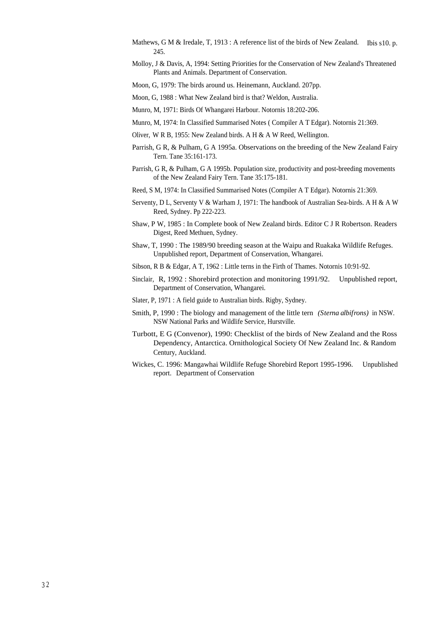- Mathews, G M & Iredale, T, 1913 : A reference list of the birds of New Zealand. Ibis s10. p. 245.
- Molloy, J & Davis, A, 1994: Setting Priorities for the Conservation of New Zealand's Threatened Plants and Animals. Department of Conservation.

Moon, G, 1979: The birds around us. Heinemann, Auckland. 207pp.

Moon, G, 1988 : What New Zealand bird is that? Weldon, Australia.

- Munro, M, 1971: Birds Of Whangarei Harbour. Notornis 18:202-206.
- Munro, M, 1974: In Classified Summarised Notes ( Compiler A T Edgar). Notornis 21:369.
- Oliver, W R B, 1955: New Zealand birds. A H & A W Reed, Wellington.
- Parrish, G R, & Pulham, G A 1995a. Observations on the breeding of the New Zealand Fairy Tern. Tane 35:161-173.
- Parrish, G R, & Pulham, G A 1995b. Population size, productivity and post-breeding movements of the New Zealand Fairy Tern. Tane 35:175-181.
- Reed, S M, 1974: In Classified Summarised Notes (Compiler A T Edgar). Notornis 21:369.
- Serventy, D L, Serventy V & Warham J, 1971: The handbook of Australian Sea-birds. A H & A W Reed, Sydney. Pp 222-223.
- Shaw, P W, 1985 : In Complete book of New Zealand birds. Editor C J R Robertson. Readers Digest, Reed Methuen, Sydney.
- Shaw, T, 1990 : The 1989/90 breeding season at the Waipu and Ruakaka Wildlife Refuges. Unpublished report, Department of Conservation, Whangarei.
- Sibson, R B & Edgar, A T, 1962 : Little terns in the Firth of Thames. Notornis 10:91-92.
- Sinclair, R, 1992 : Shorebird protection and monitoring 1991/92. Unpublished report, Department of Conservation, Whangarei.
- Slater, P, 1971 : A field guide to Australian birds. Rigby, Sydney.
- Smith, P, 1990 : The biology and management of the little tern *(Sterna albifrons)* in NSW. NSW National Parks and Wildlife Service, Hurstville.
- Turbott, E G (Convenor), 1990: Checklist of the birds of New Zealand and the Ross Dependency, Antarctica. Ornithological Society Of New Zealand Inc. & Random Century, Auckland.
- Wickes, C. 1996: Mangawhai Wildlife Refuge Shorebird Report 1995-1996. Unpublished report. Department of Conservation